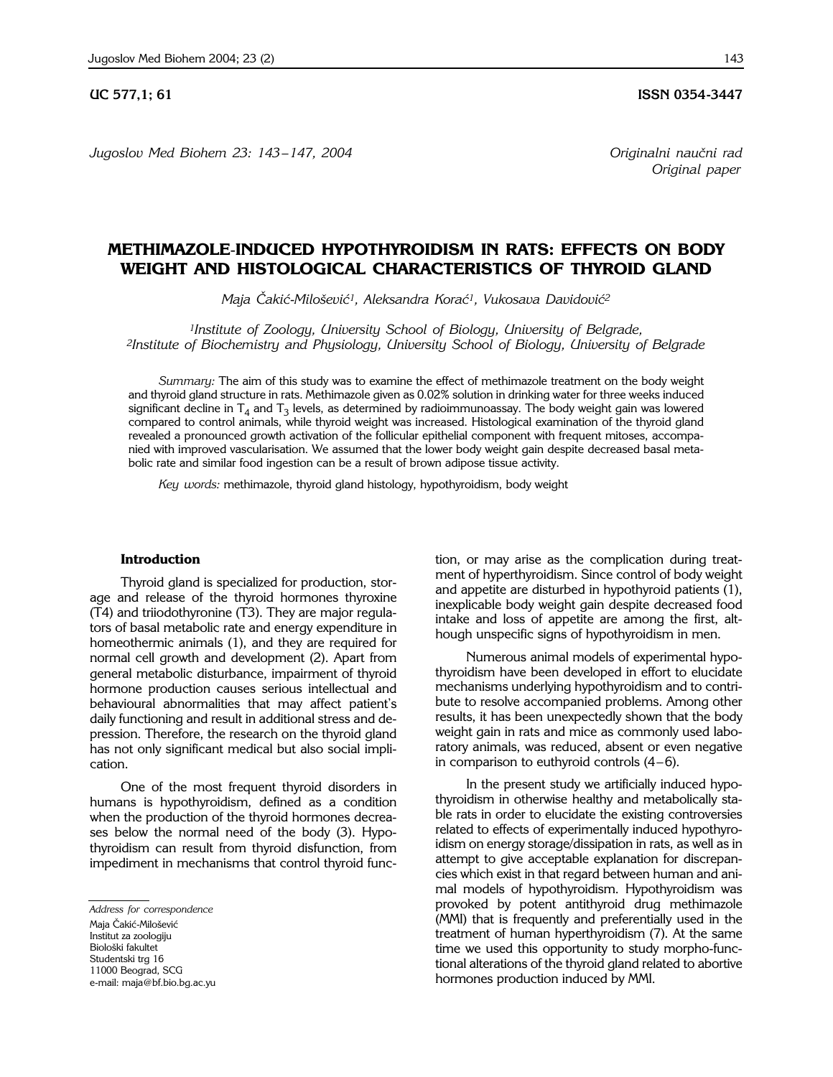**UC 577,1; 61 ISSN 0354-3447** 

*Jugoslov Med Biohem 23: 143 – 147, 2004 Originalni nau~ni rad*

*Original paper*

# **METHIMAZOLE**-**INDUCED HYPOTHYROIDISM IN RATS: EFFECTS ON BODY WEIGHT AND HISTOLOGICAL CHARACTERISTICS OF THYROID GLAND**

*Maja Čakić-Milošević<sup>1</sup>, Aleksandra Korać<sup>1</sup>, Vukosava Davidović<sup>2</sup>* 

*1Institute of Zoology, University School of Biology, University of Belgrade, 2Institute of Biochemistry and Physiology, University School of Biology, University of Belgrade*

*Summary:* The aim of this study was to examine the effect of methimazole treatment on the body weight and thyroid gland structure in rats. Methimazole given as 0.02% solution in drinking water for three weeks induced significant decline in  $T_4$  and  $T_3$  levels, as determined by radioimmunoassay. The body weight gain was lowered compared to control animals, while thyroid weight was increased. Histological examination of the thyroid gland revealed a pronounced growth activation of the follicular epithelial component with frequent mitoses, accompanied with improved vascularisation. We assumed that the lower body weight gain despite decreased basal metabolic rate and similar food ingestion can be a result of brown adipose tissue activity.

*Key words:* methimazole, thyroid gland histology, hypothyroidism, body weight

#### **Introduction**

Thyroid gland is specialized for production, storage and release of the thyroid hormones thyroxine (T4) and triiodothyronine (T3). They are major regulators of basal metabolic rate and energy expenditure in homeothermic animals (1), and they are required for normal cell growth and development (2). Apart from general metabolic disturbance, impairment of thyroid hormone production causes serious intellectual and behavioural abnormalities that may affect patient's daily functioning and result in additional stress and depression. Therefore, the research on the thyroid gland has not only significant medical but also social implication.

One of the most frequent thyroid disorders in humans is hypothyroidism, defined as a condition when the production of the thyroid hormones decreases below the normal need of the body (3). Hypothyroidism can result from thyroid disfunction, from impediment in mechanisms that control thyroid func-

tion, or may arise as the complication during treatment of hyperthyroidism. Since control of body weight and appetite are disturbed in hypothyroid patients (1), inexplicable body weight gain despite decreased food intake and loss of appetite are among the first, although unspecific signs of hypothyroidism in men.

Numerous animal models of experimental hypothyroidism have been developed in effort to elucidate mechanisms underlying hypothyroidism and to contribute to resolve accompanied problems. Among other results, it has been unexpectedly shown that the body weight gain in rats and mice as commonly used laboratory animals, was reduced, absent or even negative in comparison to euthyroid controls  $(4-6)$ .

In the present study we artificially induced hypothyroidism in otherwise healthy and metabolically stable rats in order to elucidate the existing controversies related to effects of experimentally induced hypothyroidism on energy storage/dissipation in rats, as well as in attempt to give acceptable explanation for discrepancies which exist in that regard between human and animal models of hypothyroidism. Hypothyroidism was provoked by potent antithyroid drug methimazole (MMI) that is frequently and preferentially used in the treatment of human hyperthyroidism (7). At the same time we used this opportunity to study morpho-functional alterations of the thyroid gland related to abortive hormones production induced by MMI.

*Address for correspondence* Maja Čakić-Milošević Institut za zoologiju Biološki fakultet Studentski trg 16 11000 Beograd, SCG e-mail: maja@bf.bio.bg.ac.yu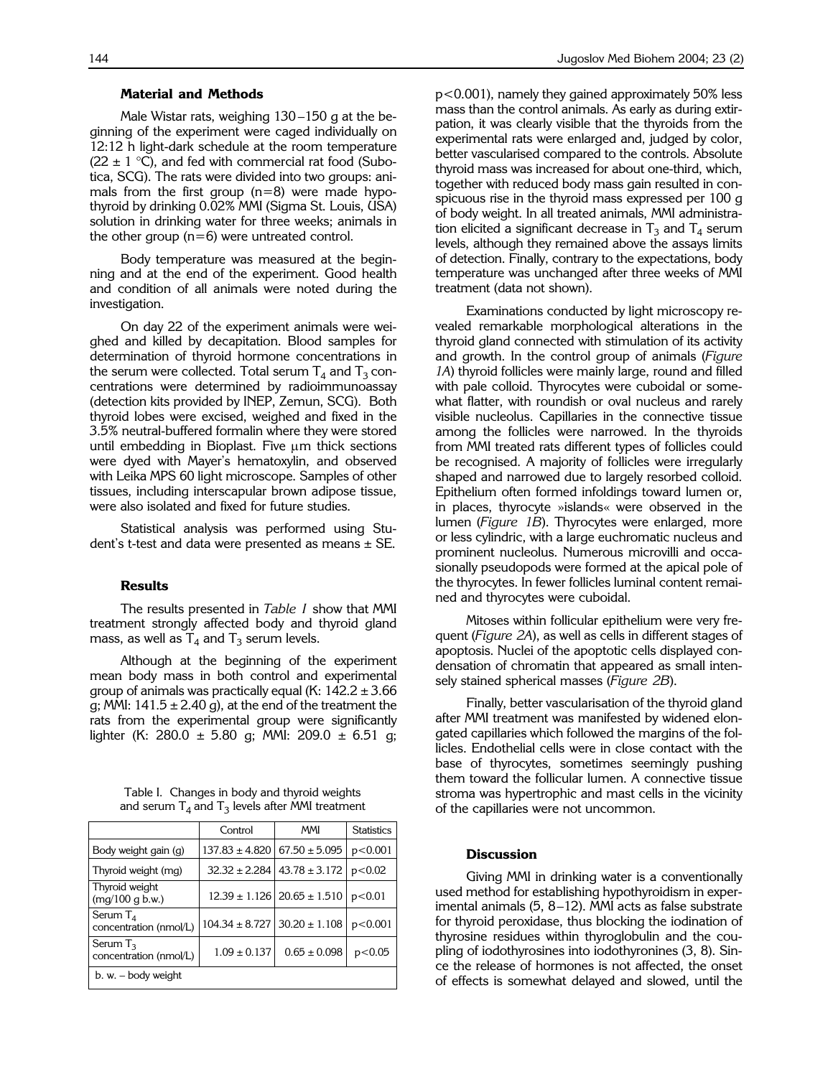Male Wistar rats, weighing  $130 - 150$  g at the beginning of the experiment were caged individually on 12:12 h light-dark schedule at the room temperature  $(22 \pm 1 \degree C)$ , and fed with commercial rat food (Subotica, SCG). The rats were divided into two groups: animals from the first group  $(n=8)$  were made hypothyroid by drinking 0.02% MMI (Sigma St. Louis, USA) solution in drinking water for three weeks; animals in the other group  $(n=6)$  were untreated control.

Body temperature was measured at the beginning and at the end of the experiment. Good health and condition of all animals were noted during the investigation.

On day 22 of the experiment animals were weighed and killed by decapitation. Blood samples for determination of thyroid hormone concentrations in the serum were collected. Total serum  $T_4$  and  $T_3$  concentrations were determined by radioimmunoassay (detection kits provided by INEP, Zemun, SCG). Both thyroid lobes were excised, weighed and fixed in the 3.5% neutral-buffered formalin where they were stored until embedding in Bioplast. Five  $\mu$ m thick sections were dyed with Mayer's hematoxylin, and observed with Leika MPS 60 light microscope. Samples of other tissues, including interscapular brown adipose tissue, were also isolated and fixed for future studies.

Statistical analysis was performed using Student's t-test and data were presented as means  $\pm$  SE.

#### **Results**

The results presented in *Table I* show that MMI treatment strongly affected body and thyroid gland mass, as well as  $T_4$  and  $T_3$  serum levels.

Although at the beginning of the experiment mean body mass in both control and experimental group of animals was practically equal (K:  $142.2 \pm 3.66$ ) g; MMI:  $141.5 \pm 2.40$  g), at the end of the treatment the rats from the experimental group were significantly lighter (K: 280.0  $\pm$  5.80 g; MMI: 209.0  $\pm$  6.51 g;

|  |  | Table I. Changes in body and thyroid weights         |
|--|--|------------------------------------------------------|
|  |  | and serum $T_4$ and $T_3$ levels after MMI treatment |

|                                       | Control            | <b>MMI</b>                            | <b>Statistics</b> |
|---------------------------------------|--------------------|---------------------------------------|-------------------|
| Body weight gain (g)                  | $137.83 \pm 4.820$ | $67.50 \pm 5.095$                     | p<0.001           |
| Thyroid weight (mg)                   | $32.32 \pm 2.284$  | $43.78 \pm 3.172$                     | p<0.02            |
| Thyroid weight<br>(mq/100 q b.w.)     |                    | $12.39 \pm 1.126$   20.65 $\pm 1.510$ | p<0.01            |
| Serum $T_A$<br>concentration (nmol/L) | $104.34 \pm 8.727$ | $30.20 \pm 1.108$                     | p<0.001           |
| Serum $T_3$<br>concentration (nmol/L) | $1.09 \pm 0.137$   | $0.65 \pm 0.098$                      | p<0.05            |
| $b. w. - body weight$                 |                    |                                       |                   |

p<0.001), namely they gained approximately 50% less mass than the control animals. As early as during extirpation, it was clearly visible that the thyroids from the experimental rats were enlarged and, judged by color, better vascularised compared to the controls. Absolute thyroid mass was increased for about one-third, which, together with reduced body mass gain resulted in conspicuous rise in the thyroid mass expressed per 100 g of body weight. In all treated animals, MMI administration elicited a significant decrease in  $T_3$  and  $T_4$  serum levels, although they remained above the assays limits of detection. Finally, contrary to the expectations, body temperature was unchanged after three weeks of MMI treatment (data not shown).

Examinations conducted by light microscopy revealed remarkable morphological alterations in the thyroid gland connected with stimulation of its activity and growth. In the control group of animals (*Figure 1A*) thyroid follicles were mainly large, round and filled with pale colloid. Thyrocytes were cuboidal or somewhat flatter, with roundish or oval nucleus and rarely visible nucleolus. Capillaries in the connective tissue among the follicles were narrowed. In the thyroids from MMI treated rats different types of follicles could be recognised. A majority of follicles were irregularly shaped and narrowed due to largely resorbed colloid. Epithelium often formed infoldings toward lumen or, in places, thyrocyte »islands« were observed in the lumen (*Figure 1B*). Thyrocytes were enlarged, more or less cylindric, with a large euchromatic nucleus and prominent nucleolus. Numerous microvilli and occasionally pseudopods were formed at the apical pole of the thyrocytes. In fewer follicles luminal content remained and thyrocytes were cuboidal.

Mitoses within follicular epithelium were very frequent (*Figure 2A*), as well as cells in different stages of apoptosis. Nuclei of the apoptotic cells displayed condensation of chromatin that appeared as small intensely stained spherical masses (*Figure 2B*).

Finally, better vascularisation of the thyroid gland after MMI treatment was manifested by widened elongated capillaries which followed the margins of the follicles. Endothelial cells were in close contact with the base of thyrocytes, sometimes seemingly pushing them toward the follicular lumen. A connective tissue stroma was hypertrophic and mast cells in the vicinity of the capillaries were not uncommon.

### **Discussion**

Giving MMI in drinking water is a conventionally used method for establishing hypothyroidism in experimental animals  $(5, 8-12)$ . MMI acts as false substrate for thyroid peroxidase, thus blocking the iodination of thyrosine residues within thyroglobulin and the coupling of iodothyrosines into iodothyronines (3, 8). Since the release of hormones is not affected, the onset of effects is somewhat delayed and slowed, until the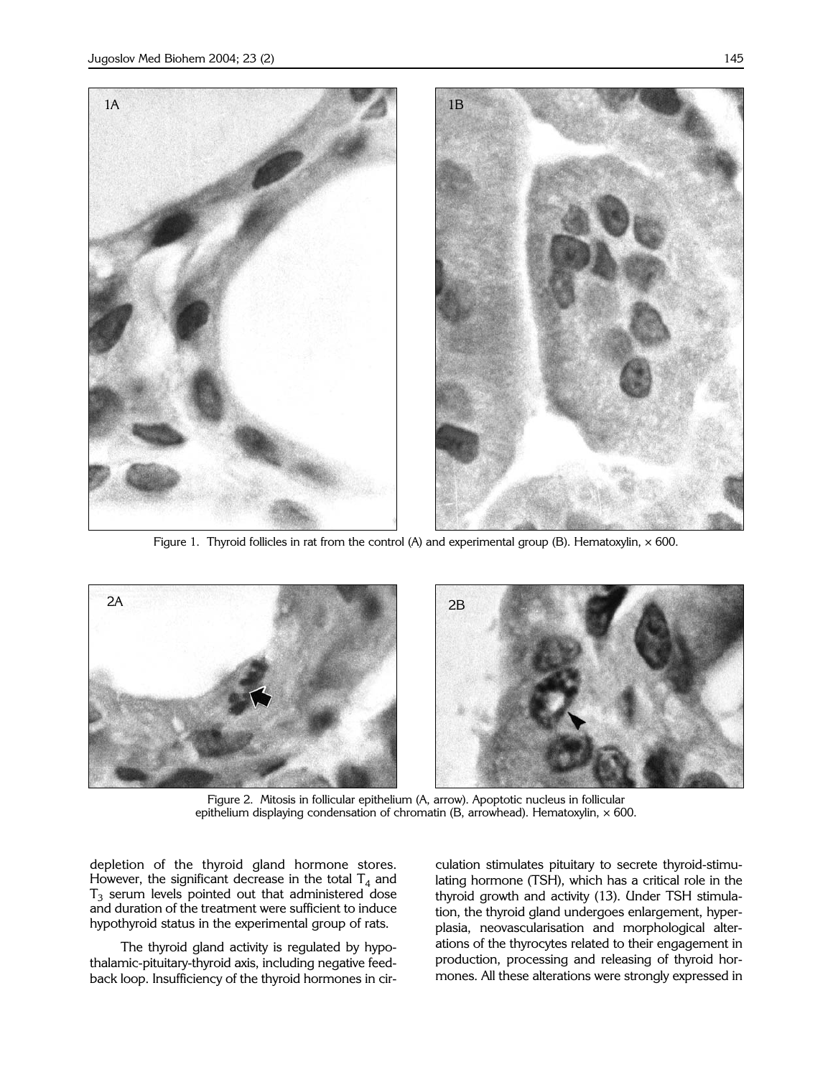

Figure 1. Thyroid follicles in rat from the control (A) and experimental group (B). Hematoxylin,  $\times$  600.



Figure 2. Mitosis in follicular epithelium (A, arrow). Apoptotic nucleus in follicular epithelium displaying condensation of chromatin (B, arrowhead). Hematoxylin,  $\times$  600.

depletion of the thyroid gland hormone stores. However, the significant decrease in the total  $T_4$  and  $T_3$  serum levels pointed out that administered dose and duration of the treatment were sufficient to induce hypothyroid status in the experimental group of rats.

The thyroid gland activity is regulated by hypothalamic-pituitary-thyroid axis, including negative feedback loop. Insufficiency of the thyroid hormones in circulation stimulates pituitary to secrete thyroid-stimulating hormone (TSH), which has a critical role in the thyroid growth and activity (13). Under TSH stimulation, the thyroid gland undergoes enlargement, hyperplasia, neovascularisation and morphological alterations of the thyrocytes related to their engagement in production, processing and releasing of thyroid hormones. All these alterations were strongly expressed in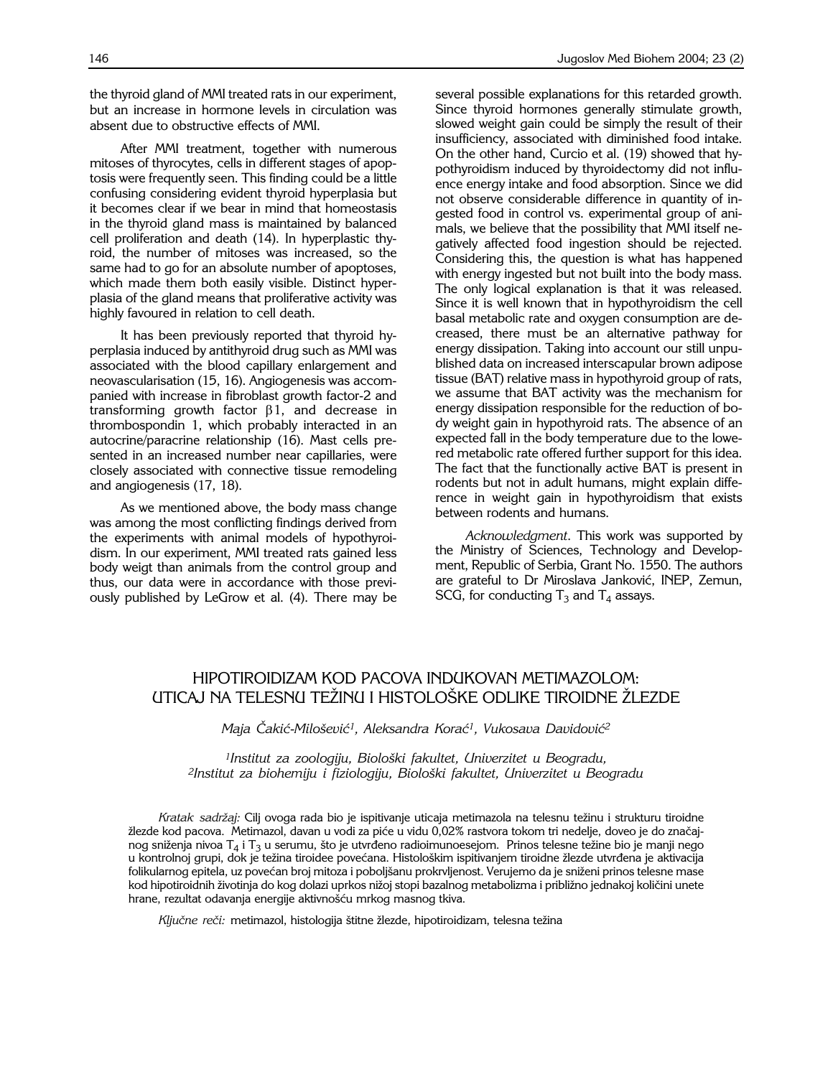the thyroid gland of MMI treated rats in our experiment, but an increase in hormone levels in circulation was absent due to obstructive effects of MMI.

After MMI treatment, together with numerous mitoses of thyrocytes, cells in different stages of apoptosis were frequently seen. This finding could be a little confusing considering evident thyroid hyperplasia but it becomes clear if we bear in mind that homeostasis in the thyroid gland mass is maintained by balanced cell proliferation and death (14). In hyperplastic thyroid, the number of mitoses was increased, so the same had to go for an absolute number of apoptoses, which made them both easily visible. Distinct hyperplasia of the gland means that proliferative activity was highly favoured in relation to cell death.

It has been previously reported that thyroid hyperplasia induced by antithyroid drug such as MMI was associated with the blood capillary enlargement and neovascularisation (15, 16). Angiogenesis was accompanied with increase in fibroblast growth factor-2 and transforming growth factor  $\beta$ 1, and decrease in thrombospondin 1, which probably interacted in an autocrine/paracrine relationship (16). Mast cells presented in an increased number near capillaries, were closely associated with connective tissue remodeling and angiogenesis (17, 18).

As we mentioned above, the body mass change was among the most conflicting findings derived from the experiments with animal models of hypothyroidism. In our experiment, MMI treated rats gained less body weigt than animals from the control group and thus, our data were in accordance with those previously published by LeGrow et al. (4). There may be

several possible explanations for this retarded growth. Since thyroid hormones generally stimulate growth, slowed weight gain could be simply the result of their insufficiency, associated with diminished food intake. On the other hand, Curcio et al. (19) showed that hypothyroidism induced by thyroidectomy did not influence energy intake and food absorption. Since we did not observe considerable difference in quantity of ingested food in control vs. experimental group of animals, we believe that the possibility that MMI itself negatively affected food ingestion should be rejected. Considering this, the question is what has happened with energy ingested but not built into the body mass. The only logical explanation is that it was released. Since it is well known that in hypothyroidism the cell basal metabolic rate and oxygen consumption are decreased, there must be an alternative pathway for energy dissipation. Taking into account our still unpublished data on increased interscapular brown adipose tissue (BAT) relative mass in hypothyroid group of rats, we assume that BAT activity was the mechanism for energy dissipation responsible for the reduction of body weight gain in hypothyroid rats. The absence of an expected fall in the body temperature due to the lowered metabolic rate offered further support for this idea. The fact that the functionally active BAT is present in rodents but not in adult humans, might explain difference in weight gain in hypothyroidism that exists between rodents and humans.

*Acknowledgment*. This work was supported by the Ministry of Sciences, Technology and Development, Republic of Serbia, Grant No. 1550. The authors are grateful to Dr Miroslava Janković, INEP, Zemun, SCG, for conducting  $T_3$  and  $T_4$  assays.

## HIPOTIROIDIZAM KOD PACOVA INDUKOVAN METIMAZOLOM: UTICAJ NA TELESNU TEŽINU I HISTOLOŠKE ODLIKE TIROIDNE ŽLEZDE

*Maja Čakić-Milošević<sup>1</sup>, Aleksandra Korać<sup>1</sup>, Vukosava Davidović<sup>2</sup>* 

<sup>1</sup> Institut za zoologiju, Biološki fakultet, Univerzitet u Beogradu, *2Institut za biohemiju i fiziologiju, Biolo{ki fakultet, Univerzitet u Beogradu*

*Kratak sadr`aj:* Cilj ovoga rada bio je ispitivanje uticaja metimazola na telesnu te`inu i strukturu tiroidne žlezde kod pacova. Metimazol, davan u vodi za piće u vidu 0,02% rastvora tokom tri nedelje, doveo je do značajnog sniženja nivoa T<sub>4</sub> i T<sub>3</sub> u serumu, što je utvrđeno radioimunoesejom. Prinos telesne težine bio je manji nego u kontrolnoj grupi, dok je težina tiroidee povećana. Histološkim ispitivanjem tiroidne žlezde utvrđena je aktivacija folikularnog epitela, uz povećan broj mitoza i poboljšanu prokrvljenost. Verujemo da je sniženi prinos telesne mase kod hipotiroidnih životinja do kog dolazi uprkos nižoj stopi bazalnog metabolizma i približno jednakoj količini unete hrane, rezultat odavanja energije aktivnošću mrkog masnog tkiva.

Ključne reči: metimazol, histologija štitne žlezde, hipotiroidizam, telesna težina